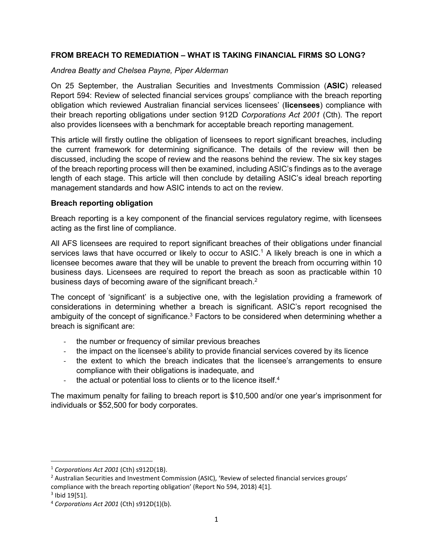# **FROM BREACH TO REMEDIATION – WHAT IS TAKING FINANCIAL FIRMS SO LONG?**

# *Andrea Beatty and Chelsea Payne, Piper Alderman*

On 25 September, the Australian Securities and Investments Commission (**ASIC**) released Report 594: Review of selected financial services groups' compliance with the breach reporting obligation which reviewed Australian financial services licensees' (**licensees**) compliance with their breach reporting obligations under section 912D *Corporations Act 2001* (Cth). The report also provides licensees with a benchmark for acceptable breach reporting management.

This article will firstly outline the obligation of licensees to report significant breaches, including the current framework for determining significance. The details of the review will then be discussed, including the scope of review and the reasons behind the review. The six key stages of the breach reporting process will then be examined, including ASIC's findings as to the average length of each stage. This article will then conclude by detailing ASIC's ideal breach reporting management standards and how ASIC intends to act on the review.

# **Breach reporting obligation**

Breach reporting is a key component of the financial services regulatory regime, with licensees acting as the first line of compliance.

All AFS licensees are required to report significant breaches of their obligations under financial services laws that have occurred or likely to occur to  $ASIC.^1$  A likely breach is one in which a licensee becomes aware that they will be unable to prevent the breach from occurring within 10 business days. Licensees are required to report the breach as soon as practicable within 10 business days of becoming aware of the significant breach.<sup>2</sup>

The concept of 'significant' is a subjective one, with the legislation providing a framework of considerations in determining whether a breach is significant. ASIC's report recognised the ambiguity of the concept of significance.<sup>3</sup> Factors to be considered when determining whether a breach is significant are:

- the number or frequency of similar previous breaches
- the impact on the licensee's ability to provide financial services covered by its licence
- the extent to which the breach indicates that the licensee's arrangements to ensure compliance with their obligations is inadequate, and
- the actual or potential loss to clients or to the licence itself.<sup>4</sup>

The maximum penalty for failing to breach report is \$10,500 and/or one year's imprisonment for individuals or \$52,500 for body corporates.

**.** 

<sup>1</sup> *Corporations Act 2001* (Cth) s912D(1B). 2

<sup>&</sup>lt;sup>2</sup> Australian Securities and Investment Commission (ASIC), 'Review of selected financial services groups' compliance with the breach reporting obligation' (Report No 594, 2018) 4[1].

 $3$  Ibid 19 $[51]$ .

<sup>4</sup> *Corporations Act 2001* (Cth) s912D(1)(b).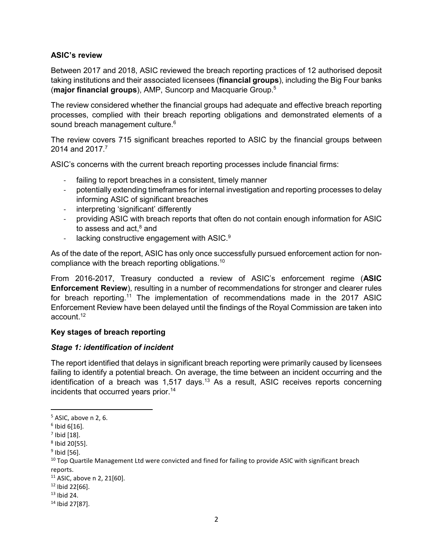# **ASIC's review**

Between 2017 and 2018, ASIC reviewed the breach reporting practices of 12 authorised deposit taking institutions and their associated licensees (**financial groups**), including the Big Four banks (**major financial groups**), AMP, Suncorp and Macquarie Group.5

The review considered whether the financial groups had adequate and effective breach reporting processes, complied with their breach reporting obligations and demonstrated elements of a sound breach management culture.<sup>6</sup>

The review covers 715 significant breaches reported to ASIC by the financial groups between 2014 and 2017.<sup>7</sup>

ASIC's concerns with the current breach reporting processes include financial firms:

- failing to report breaches in a consistent, timely manner
- potentially extending timeframes for internal investigation and reporting processes to delay informing ASIC of significant breaches
- interpreting 'significant' differently
- providing ASIC with breach reports that often do not contain enough information for ASIC to assess and act, $^8$  and
- lacking constructive engagement with ASIC.<sup>9</sup>

As of the date of the report, ASIC has only once successfully pursued enforcement action for noncompliance with the breach reporting obligations.10

From 2016-2017, Treasury conducted a review of ASIC's enforcement regime (**ASIC Enforcement Review**), resulting in a number of recommendations for stronger and clearer rules for breach reporting.<sup>11</sup> The implementation of recommendations made in the 2017 ASIC Enforcement Review have been delayed until the findings of the Royal Commission are taken into account.12

# **Key stages of breach reporting**

#### *Stage 1: identification of incident*

The report identified that delays in significant breach reporting were primarily caused by licensees failing to identify a potential breach. On average, the time between an incident occurring and the identification of a breach was 1,517 days.<sup>13</sup> As a result, ASIC receives reports concerning incidents that occurred years prior.<sup>14</sup>

<sup>5</sup> ASIC, above n 2, 6.

<sup>6</sup> Ibid 6[16].

 $^7$  Ibid [18].

<sup>8</sup> Ibid 20[55].

<sup>&</sup>lt;sup>9</sup> Ibid [56].

 $10$  Top Quartile Management Ltd were convicted and fined for failing to provide ASIC with significant breach reports.

<sup>11</sup> ASIC, above n 2, 21[60].

 $12$  Ibid 22 $[66]$ .

 $13$  Ibid 24.

<sup>14</sup> Ibid 27[87].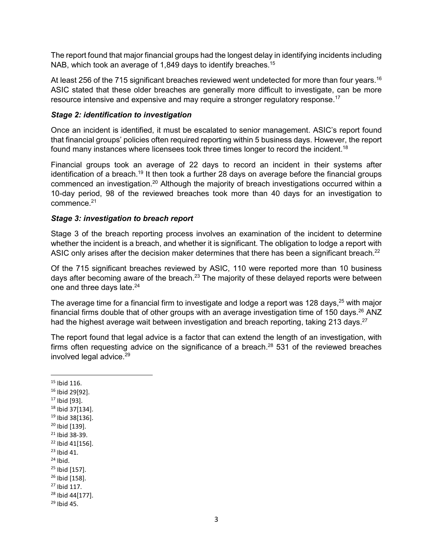The report found that major financial groups had the longest delay in identifying incidents including NAB, which took an average of 1,849 days to identify breaches.<sup>15</sup>

At least 256 of the 715 significant breaches reviewed went undetected for more than four years.<sup>16</sup> ASIC stated that these older breaches are generally more difficult to investigate, can be more resource intensive and expensive and may require a stronger regulatory response.17

# *Stage 2: identification to investigation*

Once an incident is identified, it must be escalated to senior management. ASIC's report found that financial groups' policies often required reporting within 5 business days. However, the report found many instances where licensees took three times longer to record the incident.18

Financial groups took an average of 22 days to record an incident in their systems after identification of a breach.<sup>19</sup> It then took a further 28 days on average before the financial groups commenced an investigation.20 Although the majority of breach investigations occurred within a 10-day period, 98 of the reviewed breaches took more than 40 days for an investigation to commence.<sup>21</sup>

#### *Stage 3: investigation to breach report*

Stage 3 of the breach reporting process involves an examination of the incident to determine whether the incident is a breach, and whether it is significant. The obligation to lodge a report with ASIC only arises after the decision maker determines that there has been a significant breach.<sup>22</sup>

Of the 715 significant breaches reviewed by ASIC, 110 were reported more than 10 business days after becoming aware of the breach.<sup>23</sup> The majority of these delayed reports were between one and three days late.<sup>24</sup>

The average time for a financial firm to investigate and lodge a report was 128 days, $25$  with major financial firms double that of other groups with an average investigation time of 150 days.<sup>26</sup> ANZ had the highest average wait between investigation and breach reporting, taking 213 days.<sup>27</sup>

The report found that legal advice is a factor that can extend the length of an investigation, with firms often requesting advice on the significance of a breach.<sup>28</sup> 531 of the reviewed breaches involved legal advice. $29$ 

 $\overline{a}$ 

- 16 Ibid 29[92].
- 17 Ibid [93].
- 18 Ibid 37[134].
- 19 Ibid 38[136].
- 20 Ibid [139].
- 21 Ibid 38-39.
- 22 Ibid 41[156].
- $23$  Ibid 41.  $24$  Ibid.
- 
- $25$  Ibid [157]. 26 Ibid [158].
- $27$  Ibid 117.
- 28 Ibid 44[177].

<sup>15</sup> Ibid 116.

<sup>29</sup> Ibid 45.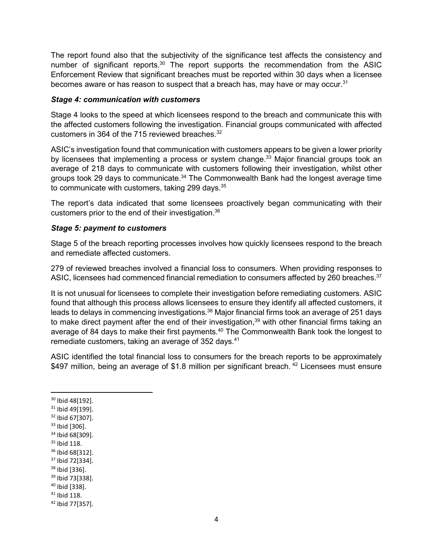The report found also that the subjectivity of the significance test affects the consistency and number of significant reports.<sup>30</sup> The report supports the recommendation from the ASIC Enforcement Review that significant breaches must be reported within 30 days when a licensee becomes aware or has reason to suspect that a breach has, may have or may occur.<sup>31</sup>

# *Stage 4: communication with customers*

Stage 4 looks to the speed at which licensees respond to the breach and communicate this with the affected customers following the investigation. Financial groups communicated with affected customers in 364 of the 715 reviewed breaches.<sup>32</sup>

ASIC's investigation found that communication with customers appears to be given a lower priority by licensees that implementing a process or system change.<sup>33</sup> Major financial groups took an average of 218 days to communicate with customers following their investigation, whilst other groups took 29 days to communicate.<sup>34</sup> The Commonwealth Bank had the longest average time to communicate with customers, taking 299 days.<sup>35</sup>

The report's data indicated that some licensees proactively began communicating with their customers prior to the end of their investigation.36

#### *Stage 5: payment to customers*

Stage 5 of the breach reporting processes involves how quickly licensees respond to the breach and remediate affected customers.

279 of reviewed breaches involved a financial loss to consumers. When providing responses to ASIC, licensees had commenced financial remediation to consumers affected by 260 breaches.<sup>37</sup>

It is not unusual for licensees to complete their investigation before remediating customers. ASIC found that although this process allows licensees to ensure they identify all affected customers, it leads to delays in commencing investigations.<sup>38</sup> Major financial firms took an average of 251 days to make direct payment after the end of their investigation,<sup>39</sup> with other financial firms taking an average of 84 days to make their first payments.<sup>40</sup> The Commonwealth Bank took the longest to remediate customers, taking an average of 352 days.<sup>41</sup>

ASIC identified the total financial loss to consumers for the breach reports to be approximately \$497 million, being an average of \$1.8 million per significant breach.<sup>42</sup> Licensees must ensure

30 Ibid 48[192].

- 31 Ibid 49[199].
- 32 Ibid 67[307].
- 33 Ibid [306].
- 34 Ibid 68[309].
- 35 Ibid 118.
- 36 Ibid 68[312].
- 37 Ibid 72[334].
- 38 Ibid [336].
- 39 Ibid 73[338]. 40 Ibid [338].
- 41 Ibid 118.
- 42 Ibid 77[357].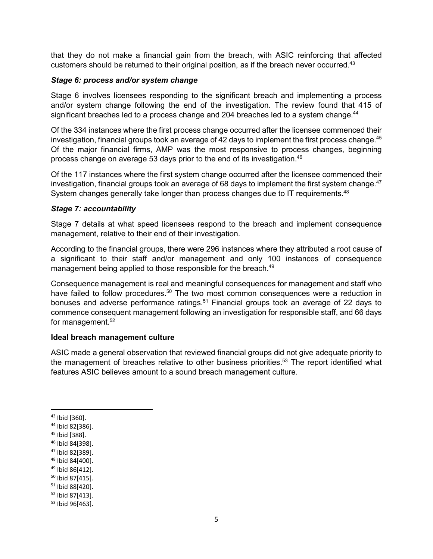that they do not make a financial gain from the breach, with ASIC reinforcing that affected customers should be returned to their original position, as if the breach never occurred.<sup>43</sup>

# *Stage 6: process and/or system change*

Stage 6 involves licensees responding to the significant breach and implementing a process and/or system change following the end of the investigation. The review found that 415 of significant breaches led to a process change and 204 breaches led to a system change.<sup>44</sup>

Of the 334 instances where the first process change occurred after the licensee commenced their investigation, financial groups took an average of 42 days to implement the first process change.<sup>45</sup> Of the major financial firms, AMP was the most responsive to process changes, beginning process change on average 53 days prior to the end of its investigation.<sup>46</sup>

Of the 117 instances where the first system change occurred after the licensee commenced their investigation, financial groups took an average of 68 days to implement the first system change.<sup>47</sup> System changes generally take longer than process changes due to IT requirements.<sup>48</sup>

#### *Stage 7: accountability*

Stage 7 details at what speed licensees respond to the breach and implement consequence management, relative to their end of their investigation.

According to the financial groups, there were 296 instances where they attributed a root cause of a significant to their staff and/or management and only 100 instances of consequence management being applied to those responsible for the breach.<sup>49</sup>

Consequence management is real and meaningful consequences for management and staff who have failed to follow procedures.<sup>50</sup> The two most common consequences were a reduction in bonuses and adverse performance ratings.<sup>51</sup> Financial groups took an average of 22 days to commence consequent management following an investigation for responsible staff, and 66 days for management.<sup>52</sup>

#### **Ideal breach management culture**

ASIC made a general observation that reviewed financial groups did not give adequate priority to the management of breaches relative to other business priorities.<sup>53</sup> The report identified what features ASIC believes amount to a sound breach management culture.

<sup>43</sup> Ibid [360].

<sup>44</sup> Ibid 82[386].

<sup>45</sup> Ibid [388].

<sup>46</sup> Ibid 84[398].

<sup>47</sup> Ibid 82[389].

<sup>48</sup> Ibid 84[400].

<sup>49</sup> Ibid 86[412].

<sup>50</sup> Ibid 87[415].

<sup>51</sup> Ibid 88[420].

<sup>52</sup> Ibid 87[413].

<sup>53</sup> Ibid 96[463].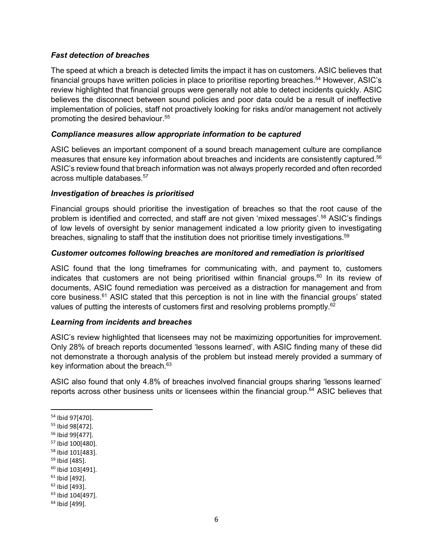# *Fast detection of breaches*

The speed at which a breach is detected limits the impact it has on customers. ASIC believes that financial groups have written policies in place to prioritise reporting breaches.<sup>54</sup> However, ASIC's review highlighted that financial groups were generally not able to detect incidents quickly. ASIC believes the disconnect between sound policies and poor data could be a result of ineffective implementation of policies, staff not proactively looking for risks and/or management not actively promoting the desired behaviour.<sup>55</sup>

# *Compliance measures allow appropriate information to be captured*

ASIC believes an important component of a sound breach management culture are compliance measures that ensure key information about breaches and incidents are consistently captured.<sup>56</sup> ASIC's review found that breach information was not always properly recorded and often recorded across multiple databases.57

#### *Investigation of breaches is prioritised*

Financial groups should prioritise the investigation of breaches so that the root cause of the problem is identified and corrected, and staff are not given 'mixed messages'.58 ASIC's findings of low levels of oversight by senior management indicated a low priority given to investigating breaches, signaling to staff that the institution does not prioritise timely investigations.<sup>59</sup>

#### *Customer outcomes following breaches are monitored and remediation is prioritised*

ASIC found that the long timeframes for communicating with, and payment to, customers indicates that customers are not being prioritised within financial groups.<sup>60</sup> In its review of documents, ASIC found remediation was perceived as a distraction for management and from core business.61 ASIC stated that this perception is not in line with the financial groups' stated values of putting the interests of customers first and resolving problems promptly.<sup>62</sup>

# *Learning from incidents and breaches*

ASIC's review highlighted that licensees may not be maximizing opportunities for improvement. Only 28% of breach reports documented 'lessons learned', with ASIC finding many of these did not demonstrate a thorough analysis of the problem but instead merely provided a summary of key information about the breach.<sup>63</sup>

ASIC also found that only 4.8% of breaches involved financial groups sharing 'lessons learned' reports across other business units or licensees within the financial group.<sup>64</sup> ASIC believes that

- $61$  Ibid [492].
- 62 Ibid [493].

<sup>54</sup> Ibid 97[470].

<sup>55</sup> Ibid 98[472].

<sup>56</sup> Ibid 99[477].

<sup>57</sup> Ibid 100[480].

<sup>58</sup> Ibid 101[483].

<sup>59</sup> Ibid [485].

<sup>60</sup> Ibid 103[491].

<sup>63</sup> Ibid 104[497].

<sup>64</sup> Ibid [499].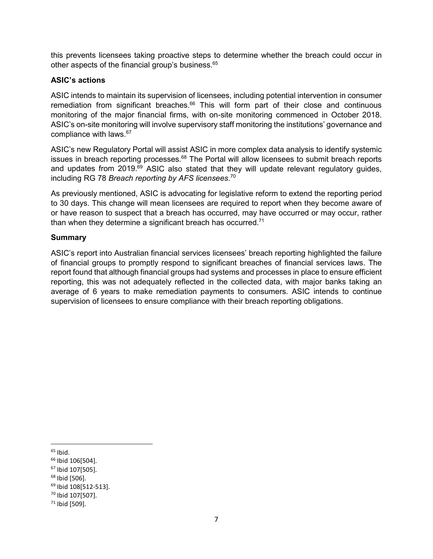this prevents licensees taking proactive steps to determine whether the breach could occur in other aspects of the financial group's business.<sup>65</sup>

# **ASIC's actions**

ASIC intends to maintain its supervision of licensees, including potential intervention in consumer remediation from significant breaches. $66$  This will form part of their close and continuous monitoring of the major financial firms, with on-site monitoring commenced in October 2018. ASIC's on-site monitoring will involve supervisory staff monitoring the institutions' governance and compliance with laws.67

ASIC's new Regulatory Portal will assist ASIC in more complex data analysis to identify systemic issues in breach reporting processes.<sup>68</sup> The Portal will allow licensees to submit breach reports and updates from  $2019$ .<sup>69</sup> ASIC also stated that they will update relevant regulatory guides, including RG 78 *Breach reporting by AFS licensees*. 70

As previously mentioned, ASIC is advocating for legislative reform to extend the reporting period to 30 days. This change will mean licensees are required to report when they become aware of or have reason to suspect that a breach has occurred, may have occurred or may occur, rather than when they determine a significant breach has occurred.<sup>71</sup>

#### **Summary**

ASIC's report into Australian financial services licensees' breach reporting highlighted the failure of financial groups to promptly respond to significant breaches of financial services laws. The report found that although financial groups had systems and processes in place to ensure efficient reporting, this was not adequately reflected in the collected data, with major banks taking an average of 6 years to make remediation payments to consumers. ASIC intends to continue supervision of licensees to ensure compliance with their breach reporting obligations.

**.** 

- 67 Ibid 107[505].
- 68 Ibid [506].

<sup>&</sup>lt;sup>65</sup> Ibid.

<sup>66</sup> Ibid 106[504].

<sup>69</sup> Ibid 108[512-513].

<sup>70</sup> Ibid 107[507].

<sup>71</sup> Ibid [509].